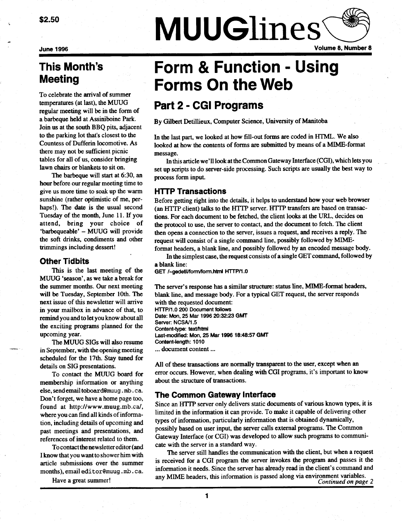\$2.50

June 1996

# This Month's **Meeting**

To celebrate the arrival of summer temperatures (at last), the MUUG regular meeting will be in the form of a barbeque held at Assiniboine Park. Join us at the south BBQ pits, adjacent to the parking lot that's closest to the Countess of Dufferin locomotive . As there may not be sufficient picnic tables for all of us, consider bringing lawn chairs or blankets to sit on.

The barbeque will start at 6:30, an hour before our regular meeting time to give us more time to soak up the warm sunshine (rather optimistic of me, perhaps!). The date is the usual second Tuesday of the month, June 11 . If you attend, bring your choice of 'barbequeable' - MUUG will provide the soft drinks, condiments and other trimmings including dessert!

# Other Tidbits

This is the last meeting of the MUUG 'season', as we take a break for the summer months. Our next meeting will be Tuesday, September 10th. The next issue of this newsletter will arrive in your mailbox in advance of that, to remind you and to let you know about all the exciting programs planned for the upcoming year.

The MUUG SIGs will also resume in September, with the opening meeting scheduled for the 17th. Stay tuned for details on SIG presentations.

To contact the MUUG board for membership information or anything else, send email toboard@muug . mb . c a. Don't forget, we have a home page too, found at http://www.muug.mb.ca/, where you can find all kinds of information, including details of upcoming and past meetings and presentations, and references of interest related to them.

To contact the newsletter editor (and I know that you want to shower him with article submissions over the summer months), email editor@muug.mb.ca.

Have a great summer!

# **MUUGlines**

Volume 8, Number 8

# Form & Function - Using Forms On the Web

# Part 2 - CGI Programs

By Gilbert Detillieux, Computer Science, University of Manitoba

In the last part, we looked at how fill-out forms are coded in HTML. We also looked at how the contents of forms are submitted by means of a MIME-format message.

In this article we'll look at the Common Gateway Interface (CGI), which lets you set up scripts to do server-side processing . Such scripts are usually the best way to process form input.

# HTTP Transactions

Before getting right into the details, it helps to understand how your web browser (an HTTP client) talks to the HTTP server . HTTP transfers are based on transactions. For each document to be fetched, the client looks at the URL, decides on the protocol to use, the server to contact, and the document to fetch. The client then opens a connection to the server, issues a request, and receives a reply . The request will consist of a single command line, possibly followed by MIMEformat headers, a blank line, and possibly followed by an encoded message body .

In the simplest case, the request consists of a single GET command, followed by a blank line:

GET /~gedetil/form/form.html HTTP/1.0

The server's response has a similar structure: status line, MIME-format headers, blank line, and message body. For a typical GET request, the server responds with the requested document:

HTTP/1 .0 200 Document follows Date: Mon, 25 Mar 1996 20:32:23 GMT Server: NCSA/1.5 Content-type: text/html Last-modified: Mon, 25 Mar 1996 18:48:57 GMT Content-length: 1010 ... document content ...

All of these transactions are normally transparent to the user, except when an error occurs . However, when dealing with CGI programs, it's important to know about the structure of transactions.

# The Common Gateway Interface

Since an HTTP server only delivers static documents of various known types, it is limited in the information it can provide . To make it capable of delivering other types of information, particularly information that is obtained dynamically, possibly based on user input, the server calls external programs . The Common Gateway Interface (or CGI) was developed to allow such programs to communicate with the server in a standard way .

The server still handles the communication with the client, but when a request is received for a CGI program the server invokes the program and passes it the information it needs . Since the server has already read in the client's command and any MIME headers, this information is passed along via environment variables . Continued on page 2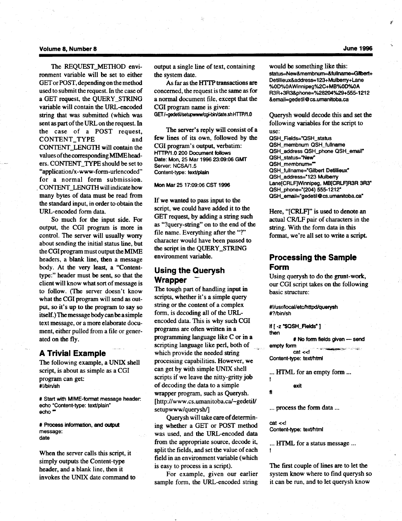#### Volume 8, Number 8

The REQUEST\_METHOD environment variable will be set to either GET or POST, depending on the method used to submit the request. In the case of a GET request, the QUERY STRING variable will contain the URL-encoded string that was submitted (which was sent as part of the URL on the request. In the case of a POST request, CONTENT-TYPE and CONTENT-LENGTH will contain the values of the corresponding MIME headers. CONTENT\_TYPE should be set to "application/x-www-form-urlencoded" for a normal form submission. CONTENT-LENGTH will indicate how many bytes of data must be read from the standard input, in order to obtain the URL-encoded form data.

So much for the input side. For output, the CGI program is more in control. The server will usually worry about sending the initial status line, but the CGI program must output the MIME headers, a blank line, then a message body. At the very least, a "Contenttype:" header must be sent, so that the client will know what sort of message is to follow. (The server doesn't know what the CGI program will send as output, so it's up to the program to say so itself.) The message body can be a simple text message, or a more elaborate document, either pulled from a file or generated on the fly.

# A Trivial Example

The following example, a UNIX shell script, is about as simple as a CGI program can get: #!/bin/sh

# Start with MIME-format message header echo "Content-type: text/plain" echo "

# Process information, and output message: date

When the server calls this script, it simply outputs the Content-type header, and a blank line, then it invokes the UNIX date command to output a single line of text, containing the system date.

As far as the HTTP transactions are concerned, the request is the same as for a normal document file, except that the CGI program name is given: GET/-gedetil/setupwww/cgi-bin/date .sh HTTP/1 .0

The server's reply will consist of a few lines of its own, followed by the CGI program's output, verbatim : HTTP/1 .0 200 Document follows Date: Mon, 25 Mar 1996 23:09:06 GMT Server: NCSA/1.5 Content-type: text/plain

Mon Mar 25 17 :09:06 CST 1996

If we wanted to pass input to the script, we could have added it to the GET request, by adding a string such as "?query-string" on to the end of the file name. Everything after the "?" character would have been passed to the script in the QUERY-STRING environment variable.

# Using the Querysh **Wrapper**

The tough part of handling input in scripts, whether it's a simple query string or the content of a complex form, is decoding all of the URLencoded data . This is why such CGI programs are often written in a programming language like C or in a scripting language like perl, both of which provide the needed string processing capabilities. However, we can get by with simple UNIX shell scripts if we leave the nitty-gritty job of decoding the data to a simple wrapper program, such as Querysh. [http://www.cs.umanitoba.ca/~gedetil/ setupwww/querysh/]

Querysh will take care of determining whether a GET or POST method was used, and the URL-encoded data from the appropriate source, decode it, split the fields, and set the value of each field in an environment variable (which is easy to process in a script).

For example, given our earlier sample form, the URL-encoded string

would be something like this: status=New&membnum=&fullname=Gilbert+ Detillieux&address=123+Mulberry+Lane %0D%OAWinnipeg%2C+MB%0D%0A R3R+3R3&phone=%28204%29+555-1212 &email=gedetil@ cs .umanitoba.ca

Querysh would decode this and set the following variables for the script to use :

QSH\_FieIds="QSH\_status QSH\_membnum QSH\_fullname QSH-address QSH-phone QSH-email" QSH\_status="New" QSH\_membnum=" QSH\_fullname="Gilbert Detillieux" QSH\_address="123 Mulberry Lane[CRLF] Winnipeg, MB[CRLF]R3R 3R3" QSH\_phone="(204) 555-1212" QSH\_email="gedetil@cs.umanitoba.ca"

Here, "[CRLF]" is used to denote an actual CR/LF pair of characters in the string. With the form data in this format, we're all set to write a script.

# Processing the Sample Form

Using querysh to do the grunt-work, our CGI script takes on the following basic structure:

#!/usr/local/etc/httpd/querysh #?/bin/sh

if [ -z "\$QSH\_FieIds" 1 then

# No form fields given --- send empty form cat <<!

Content-type: text/html

... HTML for an empty form ... I

exit

fi

... process the form data ...

cat <<I Content-type: text/html

... HTML for a status message ...

The first couple of lines are to let the system know where to find querysh so it can be run, and to let querysh know

F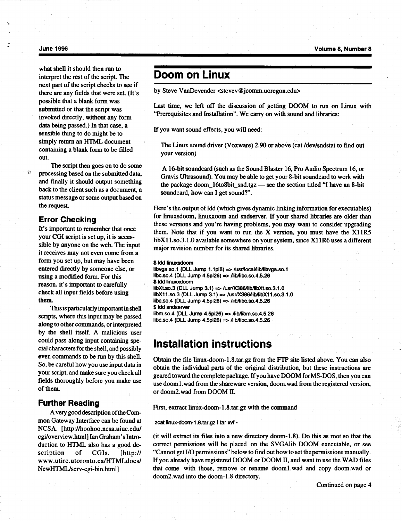#### June 1996

what shell it should then run to interpret the rest of the script. The next part of the script checks to see if there are any fields that were set. (It's possible that a blank form was submitted or that the script was invoked directly, without any form data being passed.) In that case, a sensible thing to do might be to simply return an HTML document containing a blank form to be filled out.

The script then goes on to do some processing based on the submitted data, and finally it should output something back to the client such as a document, a status message or some output based on the request.

# Error Checking

 $\hat{f}^{\alpha}$ 

It's important to remember that once your CGI script is set up, it is accessible by anyone on the web. The input it receives may not even come from a form you set up, but may have been entered directly by someone else, or using a modified form. For this reason, it's important to carefully check all input fields before using them.

This is particularly important in shell scripts, where this input may be passed along to other commands, or interpreted by the shell itself. A malicious user could pass along input containing special characters for the shell, and possibly even commands to be run by this shell. So, be careful how you use input data in your script, and make sure you check all fields thoroughly before you make use of them.

# Further Reading

Avery good description of the Common Gateway Interface can be found at NCSA. [http ://hoohoo.ncsa.uiuc .edu/ cgi/overview.html] Ian Graham's Introduction to HTML also has a good description of CGIs. [http:// www .utirc .utoronto .ca/HTMLdocs/ NewHTML/serv-cgi-bin.html]

# Doom on Linux

by Steve VanDevender <stevev@jcomm.uoregon.edu>

Last time, we left off the discussion of getting DOOM to run on Linux with "Prerequisites and Installation". We carry on with sound and libraries:

If you want sound effects, you will need:

The Linux sound driver (Voxware) 2.90 or above (cat /dev/sndstat to find out your version)

A 16-bit soundcard (such as the Sound Blaster 16, Pro Audio Spectrum 16, or Gravis Ultrasound) . You may be able to get your 8-bit soundcard to work with the package doom\_16to8bit\_snd.tgz - see the section titled "I have an 8-bit soundcard, how can I get sound?".

Here's the output of ldd (which gives dynamic linking information for executables) for linuxsdoom, linuxxoom and sndserver. If your shared libraries are older than these versions and you're having problems, you may want to consider upgrading them. Note that if you want to run the X version, you must have the X11R5 libX11.so.3.1.0 available somewhere on your system, since X11R6 uses a different major revision number for its shared libraries.

#### \$ Idd linuxsdoom

libvga.so.1 (DLL Jump 1.1 $p18$ ) => /usr/local/lib/libvga.so.1 libc.so.4 (DLL Jump  $4.5p/26$ ) => /lib/libc.so.4.5.26 \$ ldd linuxxdoom libXt.so.3 (DLL Jump 3.1) => /usr/X386/lib/libXt.so.3.1.0 libX11 .so.3 (DLL Jump 3.1) => /usr/X386/lib/libX11 .so .3.1 .0 libc.so.4 (DLL Jump  $4.5p/26$ ) => /lib/libc.so.4.5.26 \$ Idd sndserver  $lim. so.4$  (DLL Jump 4.5pl26) =>  $A$ ib $A$ ibm.so.4.5.26  $libc.so.4$  (DLL Jump  $4.5p/26$ ) =>  $A<sub>1</sub>ib/10bc$  .so. $4.5.26$ 

# Installation instructions

Obtain the file linux-doom-1 .8 .tar .gz from the FTP site listed above . You can also obtain the individual parts of the original distribution, but these instructions are geared toward the complete package . If you have DOOM for MS-DOS, then you can use doom1.wad from the shareware version, doom .wad from the registered version, or doom2.wad from DOOM II.

First, extract linux-doom-1 .8 .tar.gz with the command

zcat linux-doom-1 .8 .tar.gz I tar xvf -

(it will extract its files into a new directory doom-1 .8) . Do this as root so that the correct permissions will be placed on the SVGAlib DOOM executable, or see "Cannot get I/O permissions" below to find out how to set the permissions manually . If you already have registered DOOM or DOOM II, and want to use the WAD files that come with those, remove or rename doom1.wad and copy doom.wad or doom2.wad into the doom-1.8 directory.

Continued on page 4